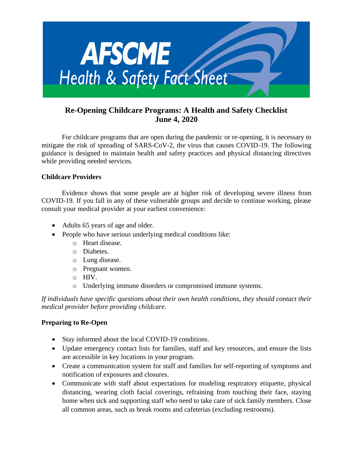

# **Re-Opening Childcare Programs: A Health and Safety Checklist June 4, 2020**

For childcare programs that are open during the pandemic or re-opening, it is necessary to mitigate the risk of spreading of SARS-CoV-2, the virus that causes COVID-19. The following guidance is designed to maintain health and safety practices and physical distancing directives while providing needed services.

## **Childcare Providers**

Evidence shows that some people are at higher risk of developing severe illness from COVID-19. If you fall in any of these vulnerable groups and decide to continue working, please consult your medical provider at your earliest convenience:

- Adults 65 years of age and older.
- People who have serious underlying medical conditions like:
	- o Heart disease.
	- o Diabetes.
	- o Lung disease.
	- o Pregnant women.
	- o HIV.
	- o Underlying immune disorders or compromised immune systems.

*If individuals have specific questions about their own health conditions, they should contact their medical provider before providing childcare.*

# **Preparing to Re-Open**

- Stay informed about the local COVID-19 conditions.
- Update emergency contact lists for families, staff and key resources, and ensure the lists are accessible in key locations in your program.
- Create a communication system for staff and families for self-reporting of symptoms and notification of exposures and closures.
- Communicate with staff about expectations for modeling respiratory etiquette, physical distancing, wearing cloth facial coverings, refraining from touching their face, staying home when sick and supporting staff who need to take care of sick family members. Close all common areas, such as break rooms and cafeterias (excluding restrooms).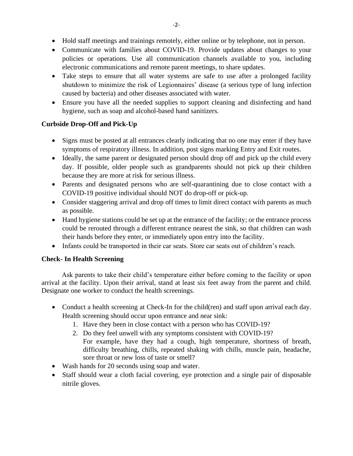- Hold staff meetings and trainings remotely, either online or by telephone, not in person.
- Communicate with families about COVID-19. Provide updates about changes to your policies or operations. Use all communication channels available to you, including electronic communications and remote parent meetings, to share updates.
- Take steps to ensure that all water systems are safe to use after a prolonged facility shutdown to minimize the risk of Legionnaires' disease (a serious type of lung infection caused by bacteria) and other diseases associated with water.
- Ensure you have all the needed supplies to support cleaning and disinfecting and hand hygiene, such as soap and alcohol-based hand sanitizers.

## **Curbside Drop-Off and Pick-Up**

- Signs must be posted at all entrances clearly indicating that no one may enter if they have symptoms of respiratory illness. In addition, post signs marking Entry and Exit routes.
- Ideally, the same parent or designated person should drop off and pick up the child every day. If possible, older people such as grandparents should not pick up their children because they are more at risk for serious illness.
- Parents and designated persons who are self-quarantining due to close contact with a COVID-19 positive individual should NOT do drop-off or pick-up.
- Consider staggering arrival and drop off times to limit direct contact with parents as much as possible.
- Hand hygiene stations could be set up at the entrance of the facility; or the entrance process could be rerouted through a different entrance nearest the sink, so that children can wash their hands before they enter, or immediately upon entry into the facility.
- Infants could be transported in their car seats. Store car seats out of children's reach.

## **Check- In Health Screening**

Ask parents to take their child's temperature either before coming to the facility or upon arrival at the facility. Upon their arrival, stand at least six feet away from the parent and child. Designate one worker to conduct the health screenings.

- Conduct a health screening at Check-In for the child(ren) and staff upon arrival each day. Health screening should occur upon entrance and near sink:
	- 1. Have they been in close contact with a person who has COVID-19?
	- 2. Do they feel unwell with any symptoms consistent with COVID-19? For example, have they had a cough, high temperature, shortness of breath, difficulty breathing, chills, repeated shaking with chills, muscle pain, headache, sore throat or new loss of taste or smell?
- Wash hands for 20 seconds using soap and water.
- Staff should wear a cloth facial covering, eye protection and a single pair of disposable nitrile gloves.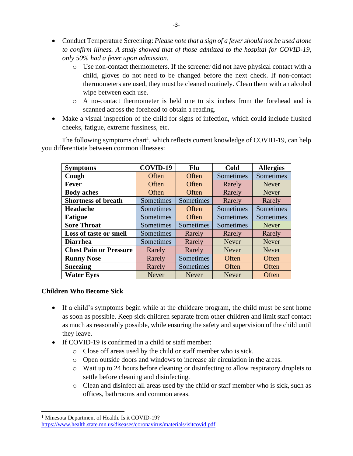- Conduct Temperature Screening: *Please note that a sign of a fever should not be used alone to confirm illness. A study showed that of those admitted to the hospital for COVID-19, only 50% had a fever upon admission.* 
	- o Use non-contact thermometers. If the screener did not have physical contact with a child, gloves do not need to be changed before the next check. If non-contact thermometers are used, they must be cleaned routinely. Clean them with an alcohol wipe between each use.
	- o A no-contact thermometer is held one to six inches from the forehead and is scanned across the forehead to obtain a reading.
- Make a visual inspection of the child for signs of infection, which could include flushed cheeks, fatigue, extreme fussiness, etc.

The following symptoms chart<sup>1</sup>, which reflects current knowledge of COVID-19, can help you differentiate between common illnesses:

| <b>Symptoms</b>               | COVID-19     | <b>Flu</b>   | Cold         | <b>Allergies</b> |
|-------------------------------|--------------|--------------|--------------|------------------|
| Cough                         | Often        | Often        | Sometimes    | Sometimes        |
| <b>Fever</b>                  | Often        | Often        | Rarely       | <b>Never</b>     |
| <b>Body aches</b>             | Often        | Often        | Rarely       | <b>Never</b>     |
| <b>Shortness of breath</b>    | Sometimes    | Sometimes    | Rarely       | Rarely           |
| <b>Headache</b>               | Sometimes    | Often        | Sometimes    | Sometimes        |
| <b>Fatigue</b>                | Sometimes    | Often        | Sometimes    | Sometimes        |
| <b>Sore Throat</b>            | Sometimes    | Sometimes    | Sometimes    | <b>Never</b>     |
| Loss of taste or smell        | Sometimes    | Rarely       | Rarely       | Rarely           |
| <b>Diarrhea</b>               | Sometimes    | Rarely       | <b>Never</b> | <b>Never</b>     |
| <b>Chest Pain or Pressure</b> | Rarely       | Rarely       | <b>Never</b> | <b>Never</b>     |
| <b>Runny Nose</b>             | Rarely       | Sometimes    | Often        | Often            |
| <b>Sneezing</b>               | Rarely       | Sometimes    | Often        | Often            |
| <b>Water Eyes</b>             | <b>Never</b> | <b>Never</b> | <b>Never</b> | Often            |

## **Children Who Become Sick**

- If a child's symptoms begin while at the childcare program, the child must be sent home as soon as possible. Keep sick children separate from other children and limit staff contact as much as reasonably possible, while ensuring the safety and supervision of the child until they leave.
- If COVID-19 is confirmed in a child or staff member:
	- o Close off areas used by the child or staff member who is sick.
	- o Open outside doors and windows to increase air circulation in the areas.
	- o Wait up to 24 hours before cleaning or disinfecting to allow respiratory droplets to settle before cleaning and disinfecting.
	- o Clean and disinfect all areas used by the child or staff member who is sick, such as offices, bathrooms and common areas.

<sup>&</sup>lt;sup>1</sup> Minesota Department of Health. Is it COVID-19?

<https://www.health.state.mn.us/diseases/coronavirus/materials/isitcovid.pdf>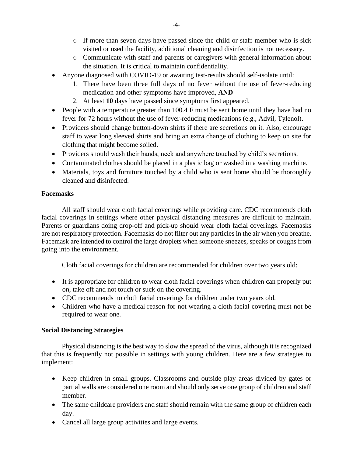- o If more than seven days have passed since the child or staff member who is sick visited or used the facility, additional cleaning and disinfection is not necessary.
- o Communicate with staff and parents or caregivers with general information about the situation. It is critical to maintain confidentiality.
- Anyone diagnosed with COVID-19 or awaiting test-results should self-isolate until:
	- 1. There have been three full days of no fever without the use of fever-reducing medication and other symptoms have improved, **AND**
	- 2. At least **10** days have passed since symptoms first appeared.
- People with a temperature greater than 100.4 F must be sent home until they have had no fever for 72 hours without the use of fever-reducing medications (e.g., Advil, Tylenol).
- Providers should change button-down shirts if there are secretions on it. Also, encourage staff to wear long sleeved shirts and bring an extra change of clothing to keep on site for clothing that might become soiled.
- Providers should wash their hands, neck and anywhere touched by child's secretions.
- Contaminated clothes should be placed in a plastic bag or washed in a washing machine.
- Materials, toys and furniture touched by a child who is sent home should be thoroughly cleaned and disinfected.

## **Facemasks**

All staff should wear cloth facial coverings while providing care. CDC recommends cloth facial coverings in settings where other physical distancing measures are difficult to maintain. Parents or guardians doing drop-off and pick-up should wear cloth facial coverings. Facemasks are not respiratory protection. Facemasks do not filter out any particles in the air when you breathe. Facemask are intended to control the large droplets when someone sneezes, speaks or coughs from going into the environment.

Cloth facial coverings for children are recommended for children over two years old:

- It is appropriate for children to wear cloth facial coverings when children can properly put on, take off and not touch or suck on the covering.
- CDC recommends no cloth facial coverings for children under two years old.
- Children who have a medical reason for not wearing a cloth facial covering must not be required to wear one.

## **Social Distancing Strategies**

Physical distancing is the best way to slow the spread of the virus, although it is recognized that this is frequently not possible in settings with young children. Here are a few strategies to implement:

- Keep children in small groups. Classrooms and outside play areas divided by gates or partial walls are considered one room and should only serve one group of children and staff member.
- The same childcare providers and staff should remain with the same group of children each day.
- Cancel all large group activities and large events.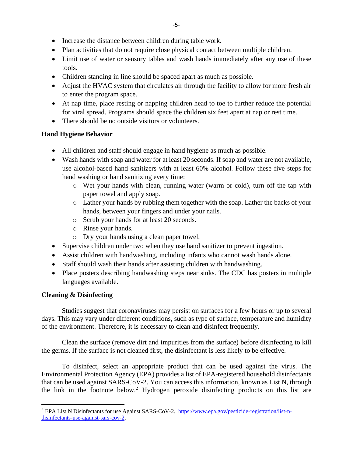- Increase the distance between children during table work.
- Plan activities that do not require close physical contact between multiple children.
- Limit use of water or sensory tables and wash hands immediately after any use of these tools.
- Children standing in line should be spaced apart as much as possible.
- Adjust the HVAC system that circulates air through the facility to allow for more fresh air to enter the program space.
- At nap time, place resting or napping children head to toe to further reduce the potential for viral spread. Programs should space the children six feet apart at nap or rest time.
- There should be no outside visitors or volunteers.

## **Hand Hygiene Behavior**

- All children and staff should engage in hand hygiene as much as possible.
- Wash hands with soap and water for at least 20 seconds. If soap and water are not available, use alcohol-based hand sanitizers with at least 60% alcohol. Follow these five steps for hand washing or hand sanitizing every time:
	- o Wet your hands with clean, running water (warm or cold), turn off the tap with paper towel and apply soap.
	- o Lather your hands by rubbing them together with the soap. Lather the backs of your hands, between your fingers and under your nails.
	- o Scrub your hands for at least 20 seconds.
	- o Rinse your hands.
	- o Dry your hands using a clean paper towel.
- Supervise children under two when they use hand sanitizer to prevent ingestion.
- Assist children with handwashing, including infants who cannot wash hands alone.
- Staff should wash their hands after assisting children with handwashing.
- Place posters describing handwashing steps near sinks. The CDC has posters in multiple languages available.

# **Cleaning & Disinfecting**

Studies suggest that coronaviruses may persist on surfaces for a few hours or up to several days. This may vary under different conditions, such as type of surface, temperature and humidity of the environment. Therefore, it is necessary to clean and disinfect frequently.

Clean the surface (remove dirt and impurities from the surface) before disinfecting to kill the germs. If the surface is not cleaned first, the disinfectant is less likely to be effective.

To disinfect, select an appropriate product that can be used against the virus. The Environmental Protection Agency (EPA) provides a list of EPA-registered household disinfectants that can be used against SARS-CoV-2. You can access this information, known as List N, through the link in the footnote below.<sup>2</sup> Hydrogen peroxide disinfecting products on this list are

<sup>2</sup> EPA List N Disinfectants for use Against SARS-CoV-2. [https://www.epa.gov/pesticide-registration/list-n](https://www.epa.gov/pesticide-registration/list-n-disinfectants-use-against-sars-cov-2)[disinfectants-use-against-sars-cov-2.](https://www.epa.gov/pesticide-registration/list-n-disinfectants-use-against-sars-cov-2)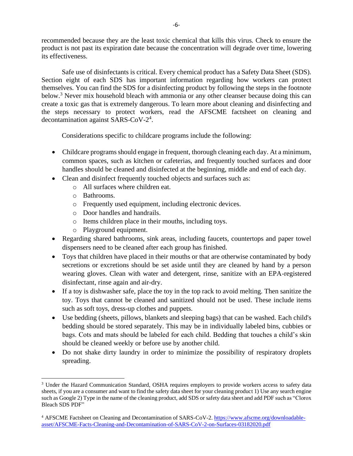recommended because they are the least toxic chemical that kills this virus. Check to ensure the product is not past its expiration date because the concentration will degrade over time, lowering its effectiveness.

Safe use of disinfectants is critical. Every chemical product has a Safety Data Sheet (SDS). Section eight of each SDS has important information regarding how workers can protect themselves. You can find the SDS for a disinfecting product by following the steps in the footnote below.<sup>3</sup> Never mix household bleach with ammonia or any other cleanser because doing this can create a toxic gas that is extremely dangerous. To learn more about cleaning and disinfecting and the steps necessary to protect workers, read the AFSCME factsheet on cleaning and decontamination against SARS-CoV-2 4 .

Considerations specific to childcare programs include the following:

- Childcare programs should engage in frequent, thorough cleaning each day. At a minimum, common spaces, such as kitchen or cafeterias, and frequently touched surfaces and door handles should be cleaned and disinfected at the beginning, middle and end of each day.
- Clean and disinfect frequently touched objects and surfaces such as:
	- o All surfaces where children eat.
	- o Bathrooms.
	- o Frequently used equipment, including electronic devices.
	- o Door handles and handrails.
	- o Items children place in their mouths, including toys.
	- o Playground equipment.
- Regarding shared bathrooms, sink areas, including faucets, countertops and paper towel dispensers need to be cleaned after each group has finished.
- Toys that children have placed in their mouths or that are otherwise contaminated by body secretions or excretions should be set aside until they are cleaned by hand by a person wearing gloves. Clean with water and detergent, rinse, sanitize with an EPA-registered disinfectant, rinse again and air-dry.
- If a toy is dishwasher safe, place the toy in the top rack to avoid melting. Then sanitize the toy. Toys that cannot be cleaned and sanitized should not be used. These include items such as soft toys, dress-up clothes and puppets.
- Use bedding (sheets, pillows, blankets and sleeping bags) that can be washed. Each child's bedding should be stored separately. This may be in individually labeled bins, cubbies or bags. Cots and mats should be labeled for each child. Bedding that touches a child's skin should be cleaned weekly or before use by another child.
- Do not shake dirty laundry in order to minimize the possibility of respiratory droplets spreading.

<sup>&</sup>lt;sup>3</sup> Under the Hazard Communication Standard, OSHA requires employers to provide workers access to safety data sheets, if you are a consumer and want to find the safety data sheet for your cleaning product 1) Use any search engine such as Google 2) Type in the name of the cleaning product, add SDS or safety data sheet and add PDF such as "Clorox Bleach SDS PDF"

<sup>4</sup> AFSCME Factsheet on Cleaning and Decontamination of SARS-CoV-2[. https://www.afscme.org/downloadable](https://www.afscme.org/downloadable-asset/AFSCME-Facts-Cleaning-and-Decontamination-of-SARS-CoV-2-on-Surfaces-03182020.pdf)[asset/AFSCME-Facts-Cleaning-and-Decontamination-of-SARS-CoV-2-on-Surfaces-03182020.pdf](https://www.afscme.org/downloadable-asset/AFSCME-Facts-Cleaning-and-Decontamination-of-SARS-CoV-2-on-Surfaces-03182020.pdf)